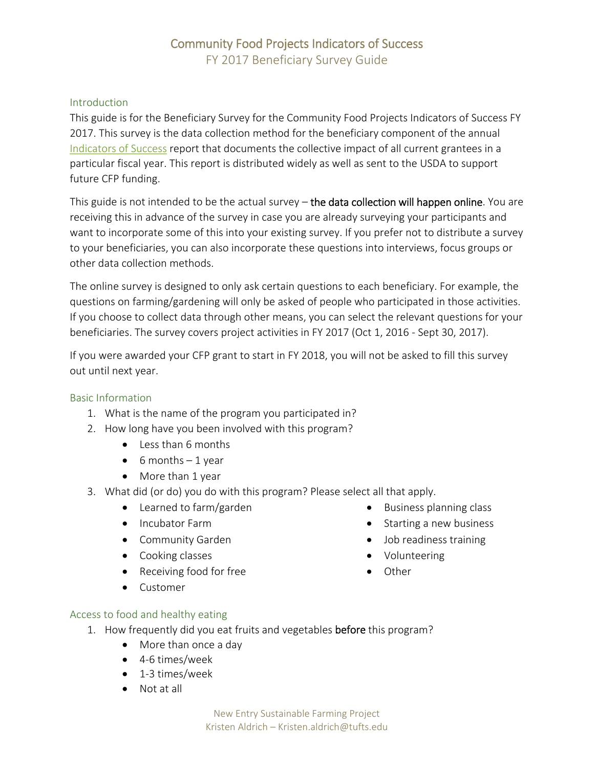## Community Food Projects Indicators of Success FY 2017 Beneficiary Survey Guide

#### Introduction

This guide is for the Beneficiary Survey for the Community Food Projects Indicators of Success FY 2017. This survey is the data collection method for the beneficiary component of the annual Indicators of Success report that documents the collective impact of all current grantees in a particular fiscal year. This report is distributed widely as well as sent to the USDA to support future CFP funding.

This guide is not intended to be the actual survey – the data collection will happen online. You are receiving this in advance of the survey in case you are already surveying your participants and want to incorporate some of this into your existing survey. If you prefer not to distribute a survey to your beneficiaries, you can also incorporate these questions into interviews, focus groups or other data collection methods.

The online survey is designed to only ask certain questions to each beneficiary. For example, the questions on farming/gardening will only be asked of people who participated in those activities. If you choose to collect data through other means, you can select the relevant questions for your beneficiaries. The survey covers project activities in FY 2017 (Oct 1, 2016 ‐ Sept 30, 2017).

If you were awarded your CFP grant to start in FY 2018, you will not be asked to fill this survey out until next year.

#### Basic Information

- 1. What is the name of the program you participated in?
- 2. How long have you been involved with this program?
	- Less than 6 months
	- $\bullet$  6 months  $-1$  year
	- More than 1 year
- 3. What did (or do) you do with this program? Please select all that apply.
	- Learned to farm/garden
	- Incubator Farm
	- Community Garden
	- Cooking classes
	- Receiving food for free
	- **•** Customer
- Business planning class • Starting a new business
- Job readiness training
- Volunteering
- Other

- Access to food and healthy eating
	- 1. How frequently did you eat fruits and vegetables before this program?
		- More than once a day
		- 4-6 times/week
		- 1-3 times/week
		- Not at all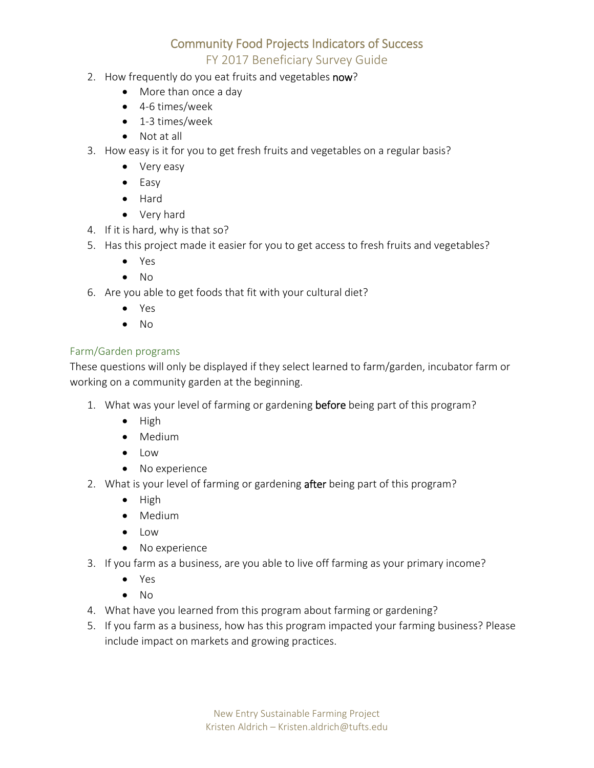# Community Food Projects Indicators of Success

## FY 2017 Beneficiary Survey Guide

- 2. How frequently do you eat fruits and vegetables now?
	- More than once a day
	- 4-6 times/week
	- 1-3 times/week
	- Not at all
- 3. How easy is it for you to get fresh fruits and vegetables on a regular basis?
	- Very easy
	- Easy
	- Hard
	- Very hard
- 4. If it is hard, why is that so?
- 5. Has this project made it easier for you to get access to fresh fruits and vegetables?
	- Yes
	- $\bullet$  No
- 6. Are you able to get foods that fit with your cultural diet?
	- Yes
	- $\bullet$  No

## Farm/Garden programs

These questions will only be displayed if they select learned to farm/garden, incubator farm or working on a community garden at the beginning.

- 1. What was your level of farming or gardening before being part of this program?
	- $\bullet$  High
	- Medium
	- Low
	- No experience
- 2. What is your level of farming or gardening after being part of this program?
	- $\bullet$  High
	- Medium
	- Low
	- No experience
- 3. If you farm as a business, are you able to live off farming as your primary income?
	- Yes
	- $\bullet$  No
- 4. What have you learned from this program about farming or gardening?
- 5. If you farm as a business, how has this program impacted your farming business? Please include impact on markets and growing practices.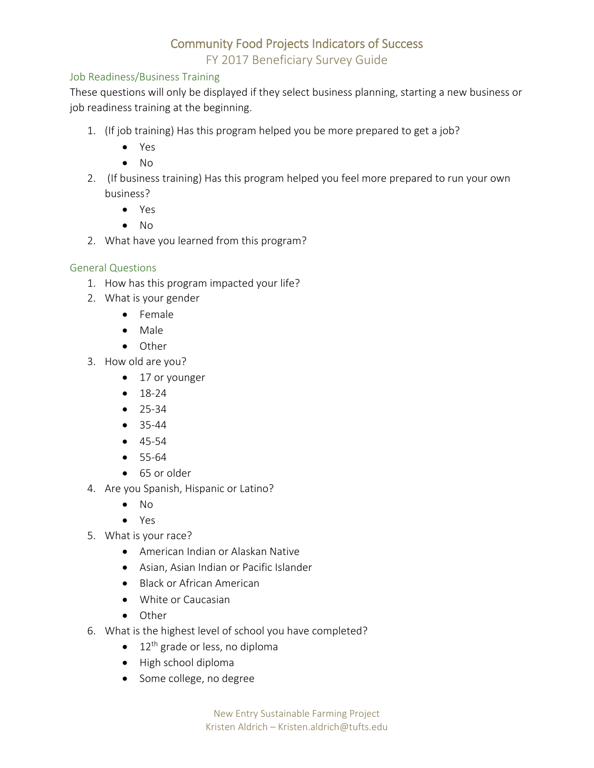# Community Food Projects Indicators of Success

FY 2017 Beneficiary Survey Guide

## Job Readiness/Business Training

These questions will only be displayed if they select business planning, starting a new business or job readiness training at the beginning.

- 1. (If job training) Has this program helped you be more prepared to get a job?
	- Yes
	- $\bullet$  No
- 2. (If business training) Has this program helped you feel more prepared to run your own business?
	- Yes
	- $\bullet$  No
- 2. What have you learned from this program?

#### General Questions

- 1. How has this program impacted your life?
- 2. What is your gender
	- Female
	- Male
	- Other
- 3. How old are you?
	- 17 or younger
	- $18-24$
	- $25-34$
	- $35-44$
	- 45‐54
	- 55‐64
	- 65 or older
- 4. Are you Spanish, Hispanic or Latino?
	- $\bullet$  No
	- Yes
- 5. What is your race?
	- American Indian or Alaskan Native
	- Asian, Asian Indian or Pacific Islander
	- Black or African American
	- White or Caucasian
	- Other
- 6. What is the highest level of school you have completed?
	- $\bullet$  12<sup>th</sup> grade or less, no diploma
	- High school diploma
	- Some college, no degree